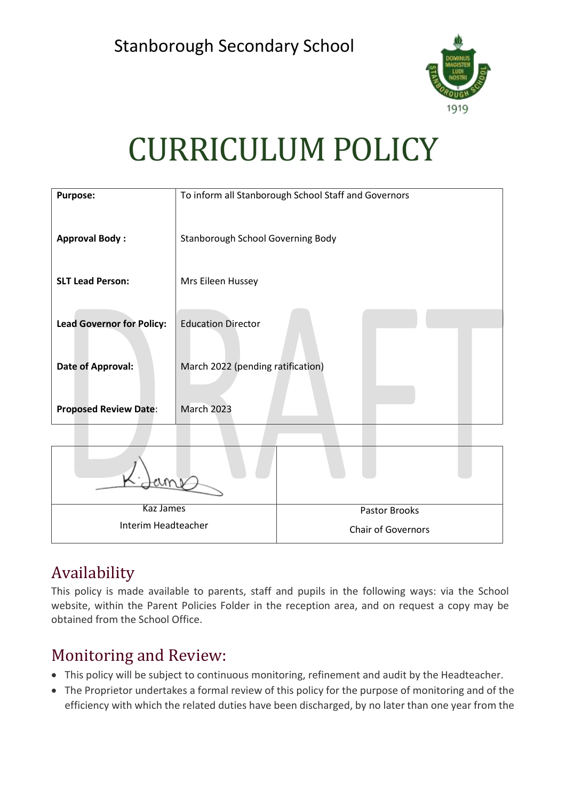

# CURRICULUM POLICY

| <b>Purpose:</b>                  | To inform all Stanborough School Staff and Governors |
|----------------------------------|------------------------------------------------------|
| <b>Approval Body:</b>            | Stanborough School Governing Body                    |
| <b>SLT Lead Person:</b>          | Mrs Eileen Hussey                                    |
| <b>Lead Governor for Policy:</b> | <b>Education Director</b>                            |
| Date of Approval:                | March 2022 (pending ratification)                    |
| <b>Proposed Review Date:</b>     | March 2023                                           |

| Kaz James           | Pastor Brooks             |  |
|---------------------|---------------------------|--|
| Interim Headteacher | <b>Chair of Governors</b> |  |

# Availability

This policy is made available to parents, staff and pupils in the following ways: via the School website, within the Parent Policies Folder in the reception area, and on request a copy may be obtained from the School Office.

# Monitoring and Review:

- This policy will be subject to continuous monitoring, refinement and audit by the Headteacher.
- The Proprietor undertakes a formal review of this policy for the purpose of monitoring and of the efficiency with which the related duties have been discharged, by no later than one year from the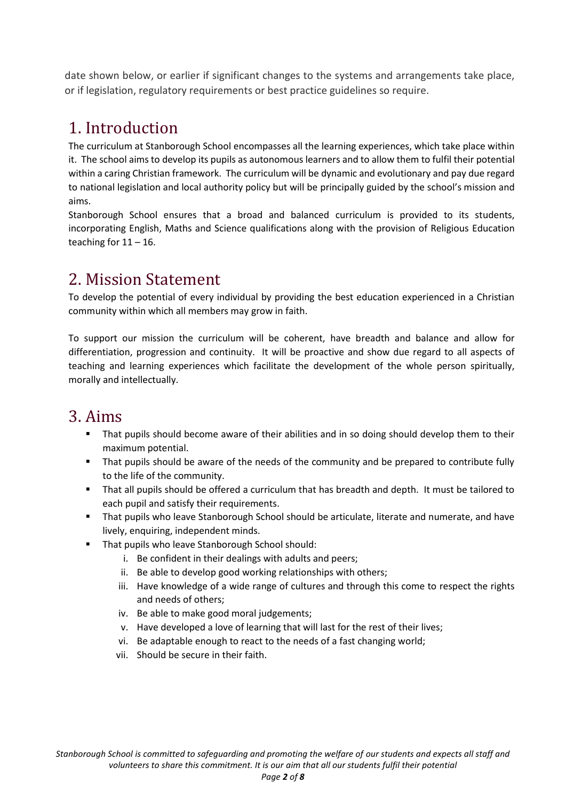date shown below, or earlier if significant changes to the systems and arrangements take place, or if legislation, regulatory requirements or best practice guidelines so require.

# 1. Introduction

The curriculum at Stanborough School encompasses all the learning experiences, which take place within it. The school aims to develop its pupils as autonomous learners and to allow them to fulfil their potential within a caring Christian framework. The curriculum will be dynamic and evolutionary and pay due regard to national legislation and local authority policy but will be principally guided by the school's mission and aims.

Stanborough School ensures that a broad and balanced curriculum is provided to its students, incorporating English, Maths and Science qualifications along with the provision of Religious Education teaching for  $11 - 16$ .

# 2. Mission Statement

To develop the potential of every individual by providing the best education experienced in a Christian community within which all members may grow in faith.

To support our mission the curriculum will be coherent, have breadth and balance and allow for differentiation, progression and continuity. It will be proactive and show due regard to all aspects of teaching and learning experiences which facilitate the development of the whole person spiritually, morally and intellectually.

# 3. Aims

- That pupils should become aware of their abilities and in so doing should develop them to their maximum potential.
- **•** That pupils should be aware of the needs of the community and be prepared to contribute fully to the life of the community.
- That all pupils should be offered a curriculum that has breadth and depth. It must be tailored to each pupil and satisfy their requirements.
- That pupils who leave Stanborough School should be articulate, literate and numerate, and have lively, enquiring, independent minds.
- That pupils who leave Stanborough School should:
	- i. Be confident in their dealings with adults and peers;
	- ii. Be able to develop good working relationships with others;
	- iii. Have knowledge of a wide range of cultures and through this come to respect the rights and needs of others;
	- iv. Be able to make good moral judgements;
	- v. Have developed a love of learning that will last for the rest of their lives;
	- vi. Be adaptable enough to react to the needs of a fast changing world;
	- vii. Should be secure in their faith.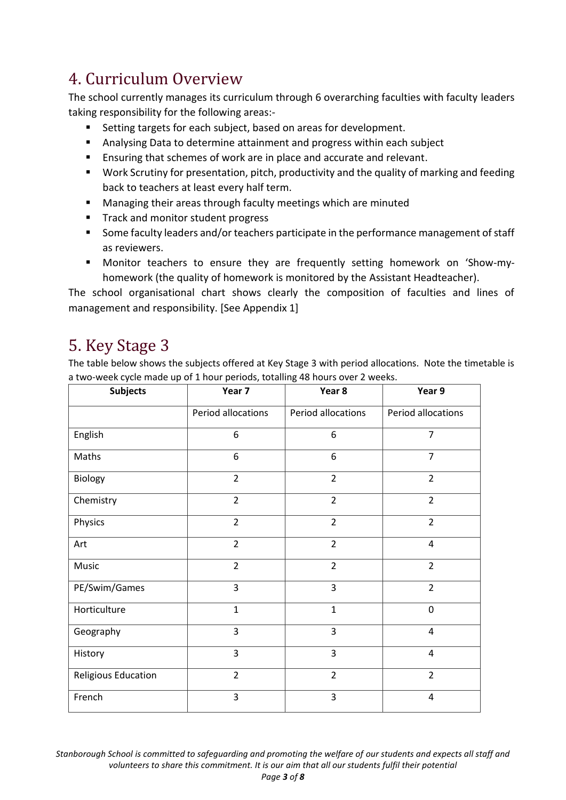# 4. Curriculum Overview

The school currently manages its curriculum through 6 overarching faculties with faculty leaders taking responsibility for the following areas:-

- Setting targets for each subject, based on areas for development.
- Analysing Data to determine attainment and progress within each subject
- Ensuring that schemes of work are in place and accurate and relevant.
- Work Scrutiny for presentation, pitch, productivity and the quality of marking and feeding back to teachers at least every half term.
- Managing their areas through faculty meetings which are minuted
- Track and monitor student progress
- Some faculty leaders and/or teachers participate in the performance management of staff as reviewers.
- Monitor teachers to ensure they are frequently setting homework on 'Show-myhomework (the quality of homework is monitored by the Assistant Headteacher).

The school organisational chart shows clearly the composition of faculties and lines of management and responsibility. [See Appendix 1]

# 5. Key Stage 3

The table below shows the subjects offered at Key Stage 3 with period allocations. Note the timetable is a two-week cycle made up of 1 hour periods, totalling 48 hours over 2 weeks.

| <b>Subjects</b>     | Year 7             | Year 8             | Year 9                  |
|---------------------|--------------------|--------------------|-------------------------|
|                     | Period allocations | Period allocations | Period allocations      |
| English             | 6                  | 6                  | 7                       |
| Maths               | 6                  | 6                  | $\overline{7}$          |
| Biology             | $\overline{2}$     | $\overline{2}$     | $\overline{2}$          |
| Chemistry           | $\overline{2}$     | $\overline{2}$     | $\overline{2}$          |
| Physics             | $\overline{2}$     | $\overline{2}$     | $\overline{2}$          |
| Art                 | $\overline{2}$     | $\overline{2}$     | 4                       |
| Music               | $\overline{2}$     | $\overline{2}$     | $\overline{2}$          |
| PE/Swim/Games       | 3                  | 3                  | $\overline{2}$          |
| Horticulture        | $\mathbf{1}$       | $\mathbf{1}$       | $\mathbf 0$             |
| Geography           | $\overline{3}$     | $\overline{3}$     | 4                       |
| History             | 3                  | 3                  | $\overline{4}$          |
| Religious Education | $\overline{2}$     | $\overline{2}$     | $\overline{2}$          |
| French              | 3                  | 3                  | $\overline{\mathbf{4}}$ |

*Stanborough School is committed to safeguarding and promoting the welfare of our students and expects all staff and volunteers to share this commitment. It is our aim that all our students fulfil their potential Page 3 of 8*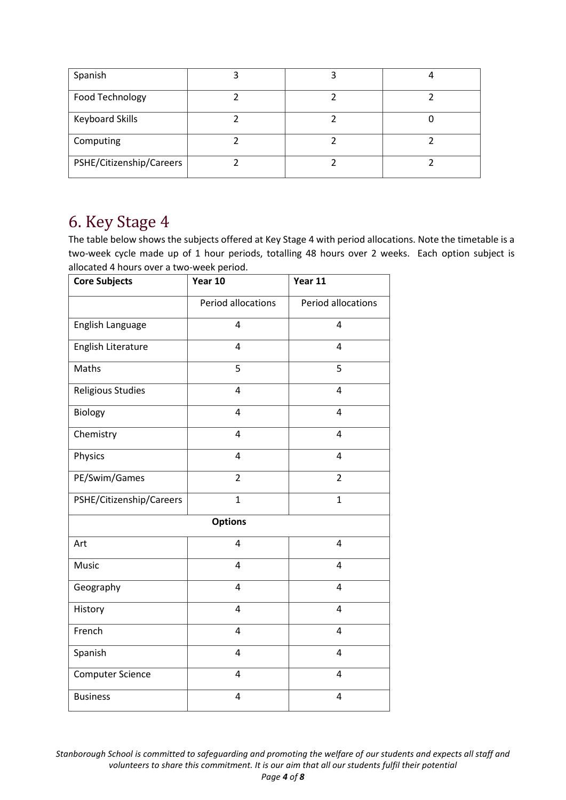| Spanish                  |  |  |
|--------------------------|--|--|
| Food Technology          |  |  |
| <b>Keyboard Skills</b>   |  |  |
| Computing                |  |  |
| PSHE/Citizenship/Careers |  |  |

### 6. Key Stage 4

The table below shows the subjects offered at Key Stage 4 with period allocations. Note the timetable is a two-week cycle made up of 1 hour periods, totalling 48 hours over 2 weeks. Each option subject is allocated 4 hours over a two-week period.

| <b>Core Subjects</b>     | Year 10                 | Year 11            |
|--------------------------|-------------------------|--------------------|
|                          | Period allocations      | Period allocations |
| English Language         | $\overline{4}$          | 4                  |
| English Literature       | $\overline{4}$          | 4                  |
| Maths                    | 5                       | 5                  |
| Religious Studies        | $\overline{4}$          | 4                  |
| Biology                  | 4                       | 4                  |
| Chemistry                | 4                       | 4                  |
| Physics                  | $\overline{4}$          | 4                  |
| PE/Swim/Games            | $\overline{2}$          | $\overline{2}$     |
| PSHE/Citizenship/Careers | $\overline{1}$          | $\mathbf{1}$       |
|                          | <b>Options</b>          |                    |
| Art                      | $\overline{4}$          | 4                  |
| Music                    | $\overline{4}$          | 4                  |
| Geography                | $\overline{4}$          | 4                  |
| History                  | $\overline{\mathbf{4}}$ | 4                  |
| French                   | $\overline{\mathbf{4}}$ | 4                  |
| Spanish                  | $\overline{4}$          | 4                  |
| <b>Computer Science</b>  | $\overline{\mathbf{4}}$ | 4                  |
| <b>Business</b>          | 4                       | 4                  |

*Stanborough School is committed to safeguarding and promoting the welfare of our students and expects all staff and volunteers to share this commitment. It is our aim that all our students fulfil their potential Page 4 of 8*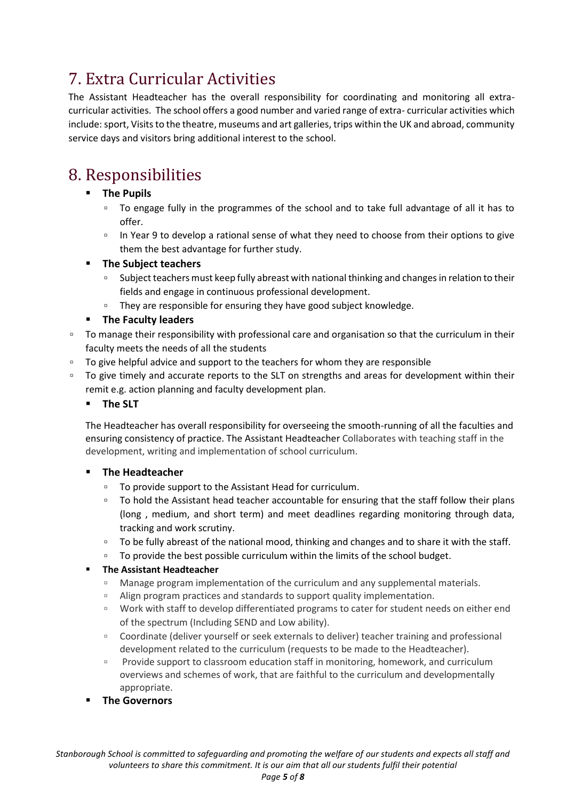# 7. Extra Curricular Activities

The Assistant Headteacher has the overall responsibility for coordinating and monitoring all extracurricular activities. The school offers a good number and varied range of extra- curricular activities which include: sport, Visits to the theatre, museums and art galleries, trips within the UK and abroad, community service days and visitors bring additional interest to the school.

# 8. Responsibilities

#### ▪ **The Pupils**

- To engage fully in the programmes of the school and to take full advantage of all it has to offer.
- □ In Year 9 to develop a rational sense of what they need to choose from their options to give them the best advantage for further study.

#### **The Subiect teachers**

- Subject teachers must keep fully abreast with national thinking and changes in relation to their fields and engage in continuous professional development.
- □ They are responsible for ensuring they have good subject knowledge.

#### ▪ **The Faculty leaders**

- □ To manage their responsibility with professional care and organisation so that the curriculum in their faculty meets the needs of all the students
- To give helpful advice and support to the teachers for whom they are responsible
- □ To give timely and accurate reports to the SLT on strengths and areas for development within their remit e.g. action planning and faculty development plan.
	- **The SLT**

The Headteacher has overall responsibility for overseeing the smooth-running of all the faculties and ensuring consistency of practice. The Assistant Headteacher Collaborates with teaching staff in the development, writing and implementation of school curriculum.

#### **The Headteacher**

- To provide support to the Assistant Head for curriculum.
- □ To hold the Assistant head teacher accountable for ensuring that the staff follow their plans (long , medium, and short term) and meet deadlines regarding monitoring through data, tracking and work scrutiny.
- □ To be fully abreast of the national mood, thinking and changes and to share it with the staff.
- □ To provide the best possible curriculum within the limits of the school budget.

#### ▪ **The Assistant Headteacher**

- Manage program implementation of the curriculum and any supplemental materials.
- Align program practices and standards to support quality implementation.
- Work with staff to develop differentiated programs to cater for student needs on either end of the spectrum (Including SEND and Low ability).
- Coordinate (deliver yourself or seek externals to deliver) teacher training and professional development related to the curriculum (requests to be made to the Headteacher).
- Provide support to classroom education staff in monitoring, homework, and curriculum overviews and schemes of work, that are faithful to the curriculum and developmentally appropriate.
- **The Governors**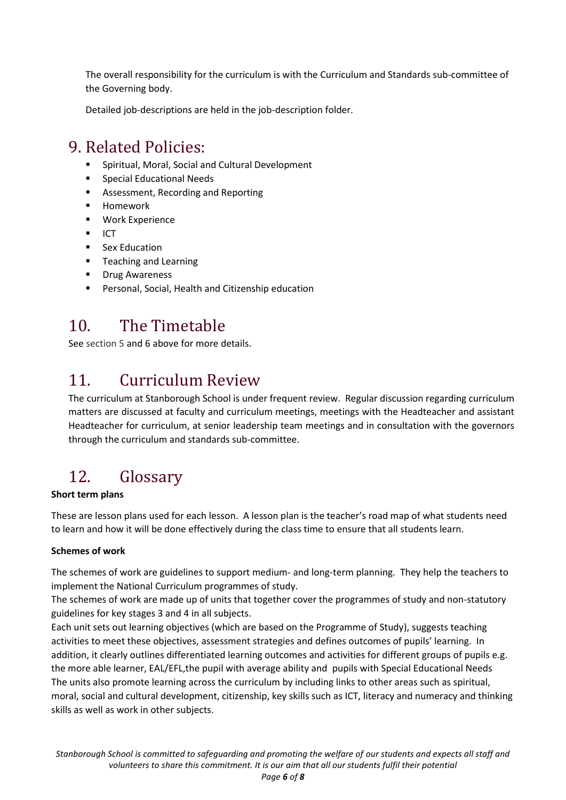The overall responsibility for the curriculum is with the Curriculum and Standards sub-committee of the Governing body.

Detailed job-descriptions are held in the job-description folder.

### 9. Related Policies:

- Spiritual, Moral, Social and Cultural Development
- Special Educational Needs
- Assessment, Recording and Reporting
- Homework
- Work Experience
- $\blacksquare$  ICT
- Sex Education
- Teaching and Learning
- Drug Awareness
- Personal, Social, Health and Citizenship education

### 10. The Timetable

See section 5 and 6 above for more details.

# 11. Curriculum Review

The curriculum at Stanborough School is under frequent review. Regular discussion regarding curriculum matters are discussed at faculty and curriculum meetings, meetings with the Headteacher and assistant Headteacher for curriculum, at senior leadership team meetings and in consultation with the governors through the curriculum and standards sub-committee.

# 12. Glossary

#### **Short term plans**

These are lesson plans used for each lesson. A lesson plan is the teacher's road map of what students need to learn and how it will be done effectively during the class time to ensure that all students learn.

#### **Schemes of work**

The schemes of work are guidelines to support medium- and long-term planning. They help the teachers to implement the National Curriculum programmes of study.

The schemes of work are made up of units that together cover the programmes of study and non-statutory guidelines for key stages 3 and 4 in all subjects.

Each unit sets out learning objectives (which are based on the Programme of Study), suggests teaching activities to meet these objectives, assessment strategies and defines outcomes of pupils' learning. In addition, it clearly outlines differentiated learning outcomes and activities for different groups of pupils e.g. the more able learner, EAL/EFL,the pupil with average ability and pupils with Special Educational Needs The units also promote learning across the curriculum by including links to other areas such as spiritual, moral, social and cultural development, citizenship, key skills such as ICT, literacy and numeracy and thinking skills as well as work in other subjects.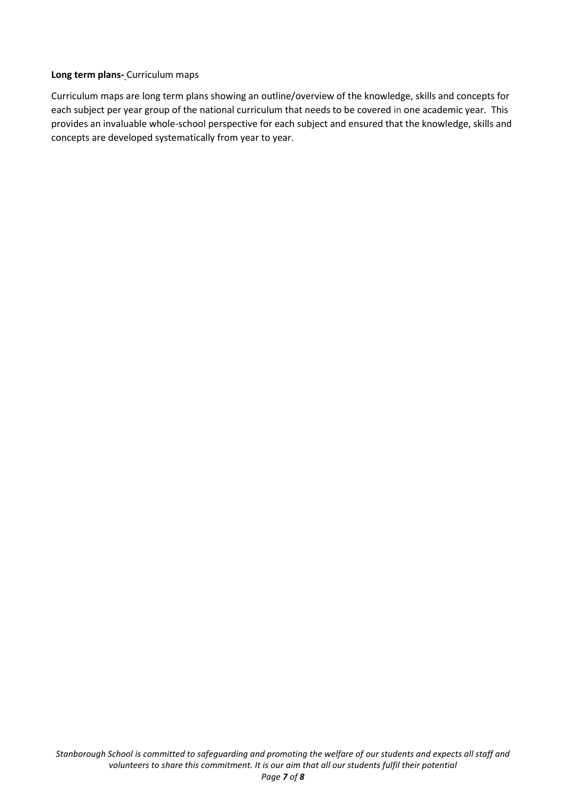#### **Long term plans-** Curriculum maps

Curriculum maps are long term plans showing an outline/overview of the knowledge, skills and concepts for each subject per year group of the national curriculum that needs to be covered in one academic year. This provides an invaluable whole-school perspective for each subject and ensured that the knowledge, skills and concepts are developed systematically from year to year.